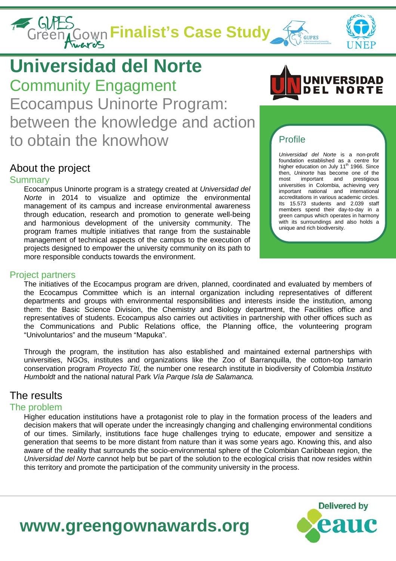# **Finalist's Case Study**<br>Green Cown Finalist's Case Study





## **Universidad del Norte**

Community Engagment Ecocampus Uninorte Program: between the knowledge and action to obtain the knowhow

### About the project

### Summary

Ecocampus Uninorte program is a strategy created at *Universidad del Norte* in 2014 to visualize and optimize the environmental management of its campus and increase environmental awareness through education, research and promotion to generate well-being and harmonious development of the university community. The program frames multiple initiatives that range from the sustainable management of technical aspects of the campus to the execution of projects designed to empower the university community on its path to more responsible conducts towards the environment.

### Profile

*Universidad del Norte* is a non-profit foundation established as a centre for<br>higher education on July 11<sup>th</sup> 1966. Since then, *Uninorte* has become one of the most important and prestigious important universities in Colombia, achieving very important national and international accreditations in various academic circles. Its 15.573 students and 2.039 staff members spend their day-to-day in a green campus which operates in harmony with its surroundings and also holds a unique and rich biodiversity.

### Project partners

The initiatives of the Ecocampus program are driven, planned, coordinated and evaluated by members of the Ecocampus Committee which is an internal organization including representatives of different departments and groups with environmental responsibilities and interests inside the institution, among them: the Basic Science Division, the Chemistry and Biology department, the Facilities office and representatives of students. Ecocampus also carries out activities in partnership with other offices such as the Communications and Public Relations office, the Planning office, the volunteering program "Univoluntarios" and the museum "Mapuka".

Through the program, the institution has also established and maintained external partnerships with universities, NGOs, institutes and organizations like the Zoo of Barranquilla, the cotton-top tamarin conservation program *Proyecto Tití,* the number one research institute in biodiversity of Colombia *Instituto Humboldt* and the national natural Park *Vía Parque Isla de Salamanca.*

### The results

### The problem

Higher education institutions have a protagonist role to play in the formation process of the leaders and decision makers that will operate under the increasingly changing and challenging environmental conditions of our times. Similarly, institutions face huge challenges trying to educate, empower and sensitize a generation that seems to be more distant from nature than it was some years ago. Knowing this, and also aware of the reality that surrounds the socio-environmental sphere of the Colombian Caribbean region, the *Universidad del Norte* cannot help but be part of the solution to the ecological crisis that now resides within this territory and promote the participation of the community university in the process.



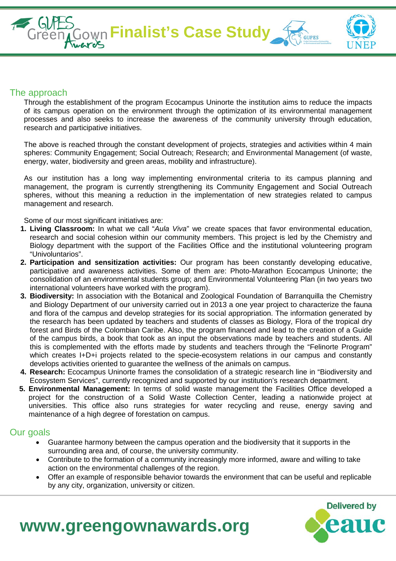

#### The approach

Through the establishment of the program Ecocampus Uninorte the institution aims to reduce the impacts of its campus operation on the environment through the optimization of its environmental management processes and also seeks to increase the awareness of the community university through education, research and participative initiatives.

The above is reached through the constant development of projects, strategies and activities within 4 main spheres: Community Engagement; Social Outreach; Research; and Environmental Management (of waste, energy, water, biodiversity and green areas, mobility and infrastructure).

As our institution has a long way implementing environmental criteria to its campus planning and management, the program is currently strengthening its Community Engagement and Social Outreach spheres, without this meaning a reduction in the implementation of new strategies related to campus management and research.

Some of our most significant initiatives are:

- **1. Living Classroom:** In what we call "*Aula Viva*" we create spaces that favor environmental education, research and social cohesion within our community members. This project is led by the Chemistry and Biology department with the support of the Facilities Office and the institutional volunteering program "Univoluntarios".
- **2. Participation and sensitization activities:** Our program has been constantly developing educative, participative and awareness activities. Some of them are: Photo-Marathon Ecocampus Uninorte; the consolidation of an environmental students group; and Environmental Volunteering Plan (in two years two international volunteers have worked with the program).
- **3. Biodiversity:** In association with the Botanical and Zoological Foundation of Barranquilla the Chemistry and Biology Department of our university carried out in 2013 a one year project to characterize the fauna and flora of the campus and develop strategies for its social appropriation. The information generated by the research has been updated by teachers and students of classes as Biology, Flora of the tropical dry forest and Birds of the Colombian Caribe. Also, the program financed and lead to the creation of a Guide of the campus birds, a book that took as an input the observations made by teachers and students. All this is complemented with the efforts made by students and teachers through the "Felinorte Program" which creates I+D+i projects related to the specie-ecosystem relations in our campus and constantly develops activities oriented to guarantee the wellness of the animals on campus.
- **4. Research:** Ecocampus Uninorte frames the consolidation of a strategic research line in "Biodiversity and Ecosystem Services", currently recognized and supported by our institution's research department.
- **5. Environmental Management:** In terms of solid waste management the Facilities Office developed a project for the construction of a Solid Waste Collection Center, leading a nationwide project at universities. This office also runs strategies for water recycling and reuse, energy saving and maintenance of a high degree of forestation on campus.

#### Our goals

- Guarantee harmony between the campus operation and the biodiversity that it supports in the surrounding area and, of course, the university community.
- Contribute to the formation of a community increasingly more informed, aware and willing to take action on the environmental challenges of the region.
- Offer an example of responsible behavior towards the environment that can be useful and replicable by any city, organization, university or citizen.



### **www.greengownawards.org**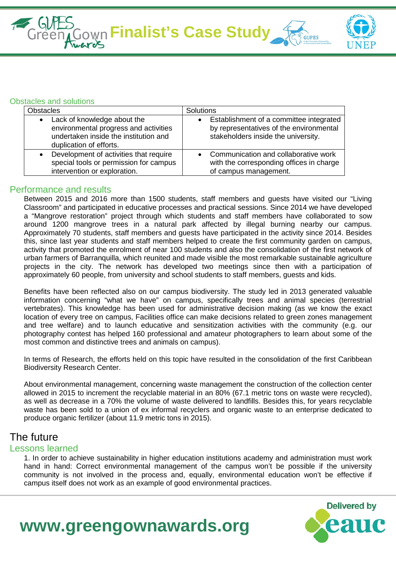**Finalist's Case Study** 



### Obstacles and solutions

| <b>Obstacles</b>                       | Solutions                                |
|----------------------------------------|------------------------------------------|
| Lack of knowledge about the            | Establishment of a committee integrated  |
| environmental progress and activities  | $\bullet$                                |
| undertaken inside the institution and  | by representatives of the environmental  |
| duplication of efforts.                | stakeholders inside the university.      |
| Development of activities that require | Communication and collaborative work     |
| special tools or permission for campus | with the corresponding offices in charge |
| intervention or exploration.           | of campus management.                    |

### Performance and results

Between 2015 and 2016 more than 1500 students, staff members and guests have visited our "Living Classroom" and participated in educative processes and practical sessions. Since 2014 we have developed a "Mangrove restoration" project through which students and staff members have collaborated to sow around 1200 mangrove trees in a natural park affected by illegal burning nearby our campus. Approximately 70 students, staff members and guests have participated in the activity since 2014. Besides this, since last year students and staff members helped to create the first community garden on campus, activity that promoted the enrolment of near 100 students and also the consolidation of the first network of urban farmers of Barranquilla, which reunited and made visible the most remarkable sustainable agriculture projects in the city. The network has developed two meetings since then with a participation of approximately 60 people, from university and school students to staff members, guests and kids.

Benefits have been reflected also on our campus biodiversity. The study led in 2013 generated valuable information concerning "what we have" on campus, specifically trees and animal species (terrestrial vertebrates). This knowledge has been used for administrative decision making (as we know the exact location of every tree on campus, Facilities office can make decisions related to green zones management and tree welfare) and to launch educative and sensitization activities with the community (e.g. our photography contest has helped 160 professional and amateur photographers to learn about some of the most common and distinctive trees and animals on campus).

In terms of Research, the efforts held on this topic have resulted in the consolidation of the first Caribbean Biodiversity Research Center.

About environmental management, concerning waste management the construction of the collection center allowed in 2015 to increment the recyclable material in an 80% (67.1 metric tons on waste were recycled), as well as decrease in a 70% the volume of waste delivered to landfills. Besides this, for years recyclable waste has been sold to a union of ex informal recyclers and organic waste to an enterprise dedicated to produce organic fertilizer (about 11.9 metric tons in 2015).

### The future

### Lessons learned

1. In order to achieve sustainability in higher education institutions academy and administration must work hand in hand: Correct environmental management of the campus won't be possible if the university community is not involved in the process and, equally, environmental education won't be effective if campus itself does not work as an example of good environmental practices.



### **www.greengownawards.org**